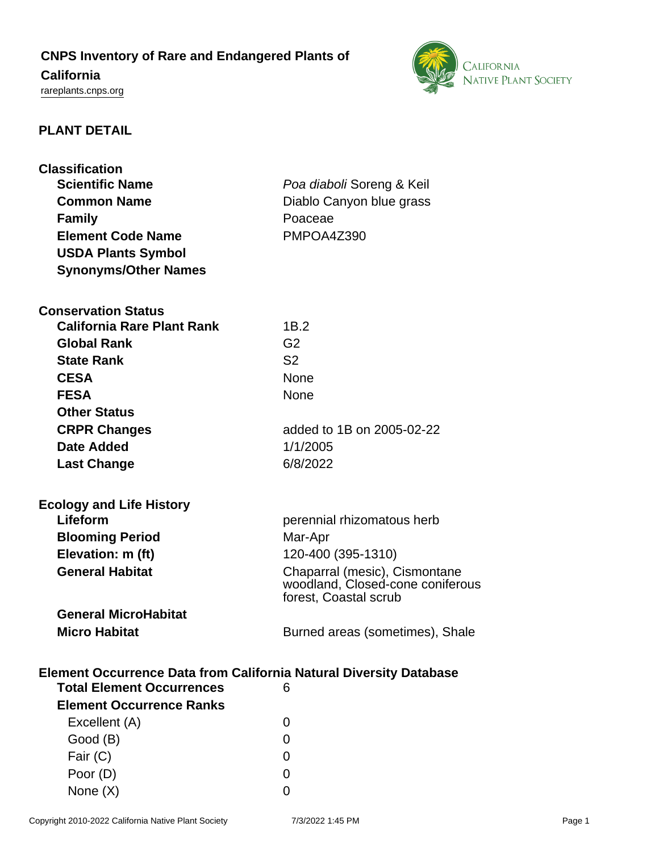# **CNPS Inventory of Rare and Endangered Plants of**

## **California**

<rareplants.cnps.org>



### **PLANT DETAIL**

| <b>Classification</b>                                                                                         |                                  |
|---------------------------------------------------------------------------------------------------------------|----------------------------------|
| <b>Scientific Name</b>                                                                                        | Poa diaboli Soreng & Keil        |
| <b>Common Name</b>                                                                                            | Diablo Canyon blue grass         |
| <b>Family</b>                                                                                                 | Poaceae                          |
| <b>Element Code Name</b>                                                                                      | PMPOA4Z390                       |
| <b>USDA Plants Symbol</b>                                                                                     |                                  |
| <b>Synonyms/Other Names</b>                                                                                   |                                  |
|                                                                                                               |                                  |
| <b>Conservation Status</b>                                                                                    |                                  |
| <b>California Rare Plant Rank</b>                                                                             | 1B.2                             |
| <b>Global Rank</b>                                                                                            | G <sub>2</sub>                   |
| <b>State Rank</b>                                                                                             | S <sub>2</sub>                   |
| <b>CESA</b>                                                                                                   | <b>None</b>                      |
| <b>FESA</b>                                                                                                   | <b>None</b>                      |
| <b>Other Status</b>                                                                                           |                                  |
| <b>CRPR Changes</b>                                                                                           | added to 1B on 2005-02-22        |
| Date Added                                                                                                    | 1/1/2005                         |
| <b>Last Change</b>                                                                                            | 6/8/2022                         |
|                                                                                                               |                                  |
| <b>Ecology and Life History</b>                                                                               |                                  |
| Lifeform                                                                                                      | perennial rhizomatous herb       |
| <b>Blooming Period</b>                                                                                        | Mar-Apr                          |
| Elevation: m (ft)                                                                                             | 120-400 (395-1310)               |
| <b>General Habitat</b>                                                                                        | Chaparral (mesic), Cismontane    |
|                                                                                                               | woodland, Closed-cone coniferous |
|                                                                                                               | forest, Coastal scrub            |
| <b>General MicroHabitat</b>                                                                                   |                                  |
| <b>Micro Habitat</b>                                                                                          | Burned areas (sometimes), Shale  |
|                                                                                                               |                                  |
| <b>Element Occurrence Data from California Natural Diversity Database</b><br><b>Total Element Occurrences</b> | 6                                |
| <b>Element Occurrence Ranks</b>                                                                               |                                  |
| Excellent (A)                                                                                                 | $\Omega$                         |
| Good (B)                                                                                                      | 0                                |
| Fair (C)                                                                                                      | 0                                |

Poor (D) 0 None  $(X)$  0